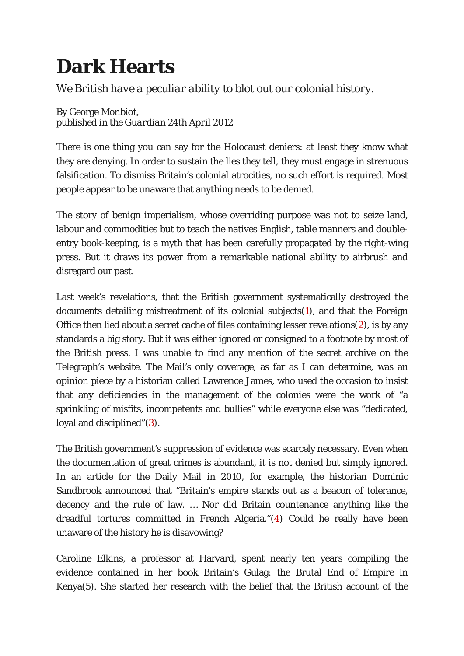## **Dark Hearts**

*We British have a peculiar ability to blot out our colonial history.*

By George Monbiot, *published in the Guardian 24th April 2012*

There is one thing you can say for the Holocaust deniers: at least they know what they are denying. In order to sustain the lies they tell, they must engage in strenuous falsification. To dismiss Britain's colonial atrocities, no such effort is required. Most people appear to be unaware that anything needs to be denied.

The story of benign imperialism, whose overriding purpose was not to seize land, labour and commodities but to teach the natives English, table manners and doubleentry book-keeping, is a myth that has been carefully propagated by the right-wing press. But it draws its power from a remarkable national ability to airbrush and disregard our past.

Last week's revelations, that the British government systematically destroyed the documents detailing mistreatment of its colonial subjects[\(1\)](http://www.guardian.co.uk/uk/2012/apr/18/britain-destroyed-records-colonial-crimes), and that the Foreign Office then lied about a secret cache of files containing lesser revelations[\(2\)](http://www.guardian.co.uk/uk/2012/apr/18/sins-colonialists-concealed-secret-archive), is by any standards a big story. But it was either ignored or consigned to a footnote by most of the British press. I was unable to find any mention of the secret archive on the Telegraph's website. The Mail's only coverage, as far as I can determine, was an opinion piece by a historian called Lawrence James, who used the occasion to insist that any deficiencies in the management of the colonies were the work of "a sprinkling of misfits, incompetents and bullies" while everyone else was "dedicated, loyal and disciplined"[\(3\)](http://www.dailymail.co.uk/debate/article-2131801/Yes-mistakes-stop-proud-Empire.html).

The British government's suppression of evidence was scarcely necessary. Even when the documentation of great crimes is abundant, it is not denied but simply ignored. In an article for the Daily Mail in 2010, for example, the historian Dominic Sandbrook announced that "Britain's empire stands out as a beacon of tolerance, decency and the rule of law. … Nor did Britain countenance anything like the dreadful tortures committed in French Algeria."[\(4\)](http://www.dailymail.co.uk/debate/article-1299111/Stop-saying-sorry-history-For-long-leaders-crippled-post-imperial-cringe.html) Could he really have been unaware of the history he is disavowing?

Caroline Elkins, a professor at Harvard, spent nearly ten years compiling the evidence contained in her book Britain's Gulag: the Brutal End of Empire in Kenya(5). She started her research with the belief that the British account of the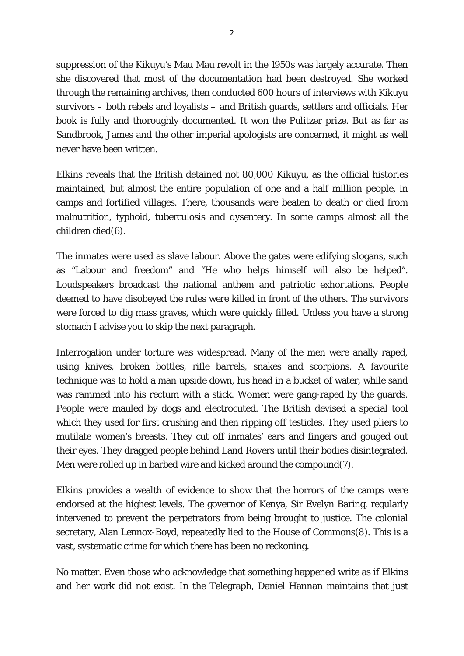suppression of the Kikuyu's Mau Mau revolt in the 1950s was largely accurate. Then she discovered that most of the documentation had been destroyed. She worked through the remaining archives, then conducted 600 hours of interviews with Kikuyu survivors – both rebels and loyalists – and British guards, settlers and officials. Her book is fully and thoroughly documented. It won the Pulitzer prize. But as far as Sandbrook, James and the other imperial apologists are concerned, it might as well never have been written.

Elkins reveals that the British detained not 80,000 Kikuyu, as the official histories maintained, but almost the entire population of one and a half million people, in camps and fortified villages. There, thousands were beaten to death or died from malnutrition, typhoid, tuberculosis and dysentery. In some camps almost all the children died(6).

The inmates were used as slave labour. Above the gates were edifying slogans, such as "Labour and freedom" and "He who helps himself will also be helped". Loudspeakers broadcast the national anthem and patriotic exhortations. People deemed to have disobeyed the rules were killed in front of the others. The survivors were forced to dig mass graves, which were quickly filled. Unless you have a strong stomach I advise you to skip the next paragraph.

Interrogation under torture was widespread. Many of the men were anally raped, using knives, broken bottles, rifle barrels, snakes and scorpions. A favourite technique was to hold a man upside down, his head in a bucket of water, while sand was rammed into his rectum with a stick. Women were gang-raped by the guards. People were mauled by dogs and electrocuted. The British devised a special tool which they used for first crushing and then ripping off testicles. They used pliers to mutilate women's breasts. They cut off inmates' ears and fingers and gouged out their eyes. They dragged people behind Land Rovers until their bodies disintegrated. Men were rolled up in barbed wire and kicked around the compound(7).

Elkins provides a wealth of evidence to show that the horrors of the camps were endorsed at the highest levels. The governor of Kenya, Sir Evelyn Baring, regularly intervened to prevent the perpetrators from being brought to justice. The colonial secretary, Alan Lennox-Boyd, repeatedly lied to the House of Commons(8). This is a vast, systematic crime for which there has been no reckoning.

No matter. Even those who acknowledge that something happened write as if Elkins and her work did not exist. In the Telegraph, Daniel Hannan maintains that just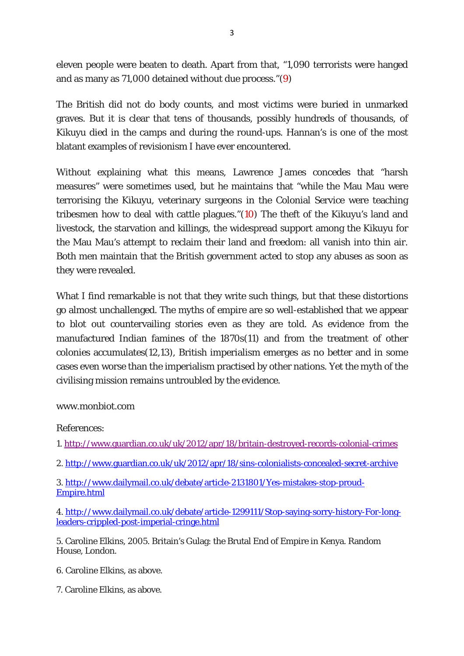eleven people were beaten to death. Apart from that, "1,090 terrorists were hanged and as many as 71,000 detained without due process."[\(9\)](http://blogs.telegraph.co.uk/news/danielhannan/100083096/in-all-the-coverage-of-the-atrocities-in-kenya-two-words-are-missing)

The British did not do body counts, and most victims were buried in unmarked graves. But it is clear that tens of thousands, possibly hundreds of thousands, of Kikuyu died in the camps and during the round-ups. Hannan's is one of the most blatant examples of revisionism I have ever encountered.

Without explaining what this means, Lawrence James concedes that "harsh measures" were sometimes used, but he maintains that "while the Mau Mau were terrorising the Kikuyu, veterinary surgeons in the Colonial Service were teaching tribesmen how to deal with cattle plagues."[\(10\)](http://www.dailymail.co.uk/debate/article-2131801/Yes-mistakes-stop-proud-Empire.html) The theft of the Kikuyu's land and livestock, the starvation and killings, the widespread support among the Kikuyu for the Mau Mau's attempt to reclaim their land and freedom: all vanish into thin air. Both men maintain that the British government acted to stop any abuses as soon as they were revealed.

What I find remarkable is not that they write such things, but that these distortions go almost unchallenged. The myths of empire are so well-established that we appear to blot out countervailing stories even as they are told. As evidence from the manufactured Indian famines of the 1870s(11) and from the treatment of other colonies accumulates(12,13), British imperialism emerges as no better and in some cases even worse than the imperialism practised by other nations. Yet the myth of the civilising mission remains untroubled by the evidence.

## www.monbiot.com

References:

1. <http://www.guardian.co.uk/uk/2012/apr/18/britain-destroyed-records-colonial-crimes>

2. <http://www.guardian.co.uk/uk/2012/apr/18/sins-colonialists-concealed-secret-archive>

3. [http://www.dailymail.co.uk/debate/article-2131801/Yes-mistakes-stop-proud-](http://www.dailymail.co.uk/debate/article-2131801/Yes-mistakes-stop-proud-Empire.html)[Empire.html](http://www.dailymail.co.uk/debate/article-2131801/Yes-mistakes-stop-proud-Empire.html)

4. [http://www.dailymail.co.uk/debate/article-1299111/Stop-saying-sorry-history-For-long](http://www.dailymail.co.uk/debate/article-1299111/Stop-saying-sorry-history-For-long-leaders-crippled-post-imperial-cringe.html)[leaders-crippled-post-imperial-cringe.html](http://www.dailymail.co.uk/debate/article-1299111/Stop-saying-sorry-history-For-long-leaders-crippled-post-imperial-cringe.html)

5. Caroline Elkins, 2005. Britain's Gulag: the Brutal End of Empire in Kenya. Random House, London.

- 6. Caroline Elkins, as above.
- 7. Caroline Elkins, as above.